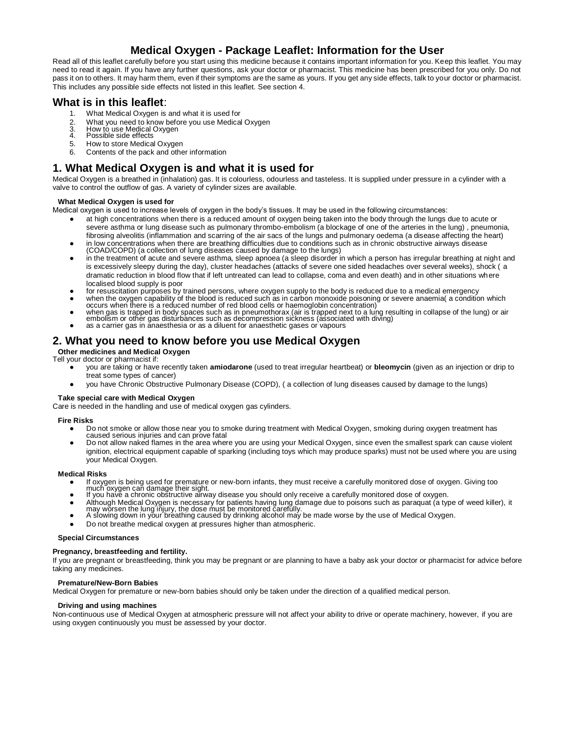# **Medical Oxygen - Package Leaflet: Information for the User**

Read all of this leaflet carefully before you start using this medicine because it contains important information for you. Keep this leaflet. You may need to read it again. If you have any further questions, ask your doctor or pharmacist. This medicine has been prescribed for you only. Do not pass it on to others. It may harm them, even if their symptoms are the same as yours. If you get any side effects, talk to your doctor or pharmacist. This includes any possible side effects not listed in this leaflet. See section 4.

## **What is in this leaflet**:

- 1. What Medical Oxygen is and what it is used for
- 2. What you need to know before you use Medical Oxygen<br>3. How to use Medical Oxygen<br>4. Possible side effects
- 3. How to use Medical Oxygen<br>4. Possible side effects
- 
- 5. How to store Medical Oxygen
- 6. Contents of the pack and other information

## **1. What Medical Oxygen is and what it is used for**

Medical Oxygen is a breathed in (inhalation) gas. It is colourless, odourless and tasteless. It is supplied under pressure in a cylinder with a valve to control the outflow of gas. A variety of cylinder sizes are available.

## **What Medical Oxygen is used for**

Medical oxygen is used to increase levels of oxygen in the body's tissues. It may be used in the following circumstances:

- at high concentrations when there is a reduced amount of oxygen being taken into the body through the lungs due to acute or severe asthma or lung disease such as pulmonary thrombo-embolism (a blockage of one of the arteries in the lung) , pneumonia, fibrosing alveolitis (inflammation and scarring of the air sacs of the lungs and pulmonary oedema (a disease affecting the heart) in low concentrations when there are breathing difficulties due to conditions such as in chronic obstructive airways disease
- (COAD/COPD) (a collection of lung diseases caused by damage to the lungs)
- in the treatment of acute and severe asthma, sleep apnoea (a sleep disorder in which a person has irregular breathing at night and is excessively sleepy during the day), cluster headaches (attacks of severe one sided headaches over several weeks), shock ( a dramatic reduction in blood flow that if left untreated can lead to collapse, coma and even death) and in other situations where localised blood supply is poor
- for resuscitation purposes by trained persons, where oxygen supply to the body is reduced due to a medical emergency
- when the oxygen capability of the blood is reduced such as in carbon monoxide poisoning or severe anaemia( a condition which occurs when there is a reduced number of red blood cells or haemoglobin concentration)
- when gas is trapped in body spaces such as in pneumothorax (air is trapped next to a lung resulting in collapse of the lung) or air<br>embolism or other gas disturbances such as decompression sickness (associated with divin
- as a carrier gas in anaesthesia or as a diluent for anaesthetic gases or vapours

# **2. What you need to know before you use Medical Oxygen**

**Other medicines and Medical Oxygen**

- Tell your doctor or pharmacist if:
	- you are taking or have recently taken **amiodarone** (used to treat irregular heartbeat) or **bleomycin** (given as an injection or drip to treat some types of cancer)
	- you have Chronic Obstructive Pulmonary Disease (COPD), ( a collection of lung diseases caused by damage to the lungs)

## **Take special care with Medical Oxygen**

Care is needed in the handling and use of medical oxygen gas cylinders.

## **Fire Risks**

- Do not smoke or allow those near you to smoke during treatment with Medical Oxygen, smoking during oxygen treatment has caused serious injuries and can prove fatal
- Do not allow naked flames in the area where you are using your Medical Oxygen, since even the smallest spark can cause violent ignition, electrical equipment capable of sparking (including toys which may produce sparks) must not be used where you are using your Medical Oxygen.

## **Medical Risks**

- If oxygen is being used for premature or new-born infants, they must receive a carefully monitored dose of oxygen. Giving too
- 
- much oxygen can damage their sight. If you have a chronic obstructive airway disease you should only receive a carefully monitored dose of oxygen.
- Although Medical Oxygen is necessary for patients having lung damage due to poisons such as paraquat (a type of weed killer), it<br>may worsen the lung injury, the dose must be monitored carefully.<br>A slowing down in your brea
- 
- Do not breathe medical oxygen at pressures higher than atmospheric.

#### **Special Circumstances**

## **Pregnancy, breastfeeding and fertility.**

If you are pregnant or breastfeeding, think you may be pregnant or are planning to have a baby ask your doctor or pharmacist for advice before taking any medicines.

## **Premature/New-Born Babies**

Medical Oxygen for premature or new-born babies should only be taken under the direction of a qualified medical person.

## **Driving and using machines**

Non-continuous use of Medical Oxygen at atmospheric pressure will not affect your ability to drive or operate machinery, however, if you are using oxygen continuously you must be assessed by your doctor.